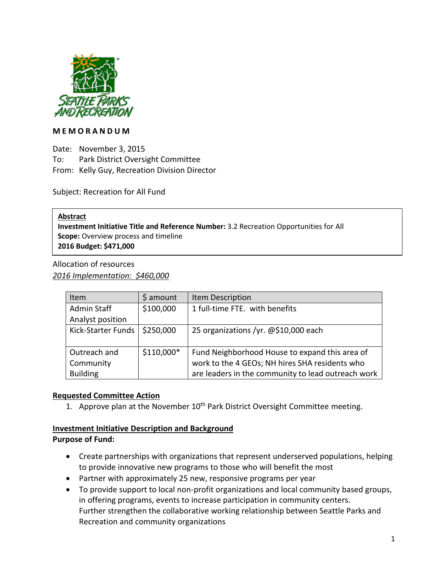

#### **M E M O R A N D U M**

Date: November 3, 2015 To: Park District Oversight Committee From: Kelly Guy, Recreation Division Director

Subject: Recreation for All Fund

#### **Abstract**

**Investment Initiative Title and Reference Number:** 3.2 Recreation Opportunities for All **Scope:** Overview process and timeline **2016 Budget: \$471,000**

Allocation of resources *2016 Implementation: \$460,000*

| Item               | \$ amount  | Item Description                                   |
|--------------------|------------|----------------------------------------------------|
| <b>Admin Staff</b> | \$100,000  | 1 full-time FTE. with benefits                     |
| Analyst position   |            |                                                    |
| Kick-Starter Funds | \$250,000  | 25 organizations /yr. @\$10,000 each               |
|                    |            |                                                    |
| Outreach and       | \$110,000* | Fund Neighborhood House to expand this area of     |
| Community          |            | work to the 4 GEOs; NH hires SHA residents who     |
| <b>Building</b>    |            | are leaders in the community to lead outreach work |

# **Requested Committee Action**

1. Approve plan at the November  $10^{th}$  Park District Oversight Committee meeting.

# **Investment Initiative Description and Background**

#### **Purpose of Fund:**

- Create partnerships with organizations that represent underserved populations, helping to provide innovative new programs to those who will benefit the most
- Partner with approximately 25 new, responsive programs per year
- To provide support to local non-profit organizations and local community based groups, in offering programs, events to increase participation in community centers. Further strengthen the collaborative working relationship between Seattle Parks and Recreation and community organizations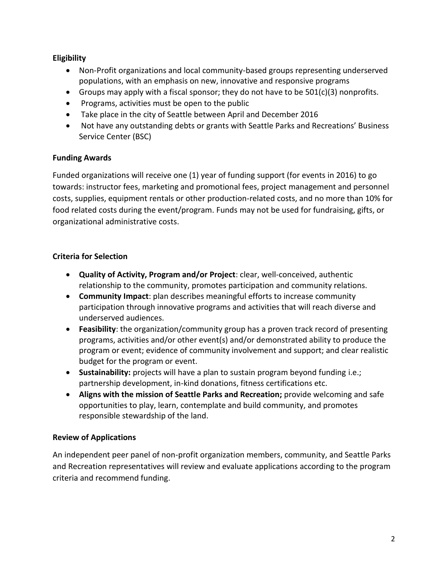# **Eligibility**

- Non-Profit organizations and local community-based groups representing underserved populations, with an emphasis on new, innovative and responsive programs
- Groups may apply with a fiscal sponsor; they do not have to be  $501(c)(3)$  nonprofits.
- Programs, activities must be open to the public
- Take place in the city of Seattle between April and December 2016
- Not have any outstanding debts or grants with Seattle Parks and Recreations' Business Service Center (BSC)

# **Funding Awards**

Funded organizations will receive one (1) year of funding support (for events in 2016) to go towards: instructor fees, marketing and promotional fees, project management and personnel costs, supplies, equipment rentals or other production-related costs, and no more than 10% for food related costs during the event/program. Funds may not be used for fundraising, gifts, or organizational administrative costs.

# **Criteria for Selection**

- **Quality of Activity, Program and/or Project**: clear, well-conceived, authentic relationship to the community, promotes participation and community relations.
- **Community Impact**: plan describes meaningful efforts to increase community participation through innovative programs and activities that will reach diverse and underserved audiences.
- **Feasibility**: the organization/community group has a proven track record of presenting programs, activities and/or other event(s) and/or demonstrated ability to produce the program or event; evidence of community involvement and support; and clear realistic budget for the program or event.
- **Sustainability:** projects will have a plan to sustain program beyond funding i.e.; partnership development, in-kind donations, fitness certifications etc.
- **Aligns with the mission of Seattle Parks and Recreation;** provide welcoming and safe opportunities to play, learn, contemplate and build community, and promotes responsible stewardship of the land.

# **Review of Applications**

An independent peer panel of non-profit organization members, community, and Seattle Parks and Recreation representatives will review and evaluate applications according to the program criteria and recommend funding.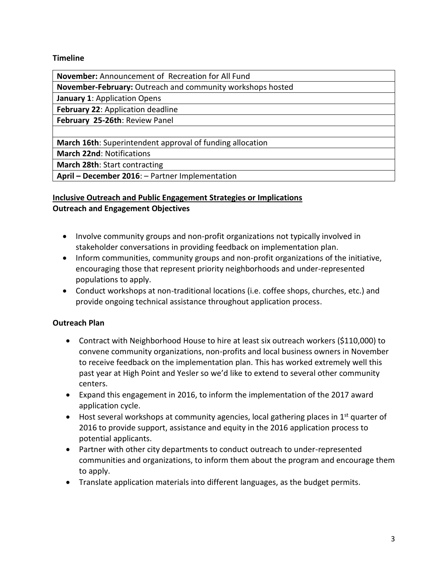### **Timeline**

**November:** Announcement of Recreation for All Fund

**November-February:** Outreach and community workshops hosted

**January 1**: Application Opens

**February 22**: Application deadline

**February 25-26th**: Review Panel

**March 16th**: Superintendent approval of funding allocation

**March 22nd**: Notifications

**March 28th**: Start contracting

**April – December 2016**: – Partner Implementation

# **Inclusive Outreach and Public Engagement Strategies or Implications Outreach and Engagement Objectives**

- Involve community groups and non-profit organizations not typically involved in stakeholder conversations in providing feedback on implementation plan.
- Inform communities, community groups and non-profit organizations of the initiative, encouraging those that represent priority neighborhoods and under-represented populations to apply.
- Conduct workshops at non-traditional locations (i.e. coffee shops, churches, etc.) and provide ongoing technical assistance throughout application process.

# **Outreach Plan**

- Contract with Neighborhood House to hire at least six outreach workers (\$110,000) to convene community organizations, non-profits and local business owners in November to receive feedback on the implementation plan. This has worked extremely well this past year at High Point and Yesler so we'd like to extend to several other community centers.
- Expand this engagement in 2016, to inform the implementation of the 2017 award application cycle.
- $\bullet$  Host several workshops at community agencies, local gathering places in 1<sup>st</sup> quarter of 2016 to provide support, assistance and equity in the 2016 application process to potential applicants.
- Partner with other city departments to conduct outreach to under-represented communities and organizations, to inform them about the program and encourage them to apply.
- Translate application materials into different languages, as the budget permits.